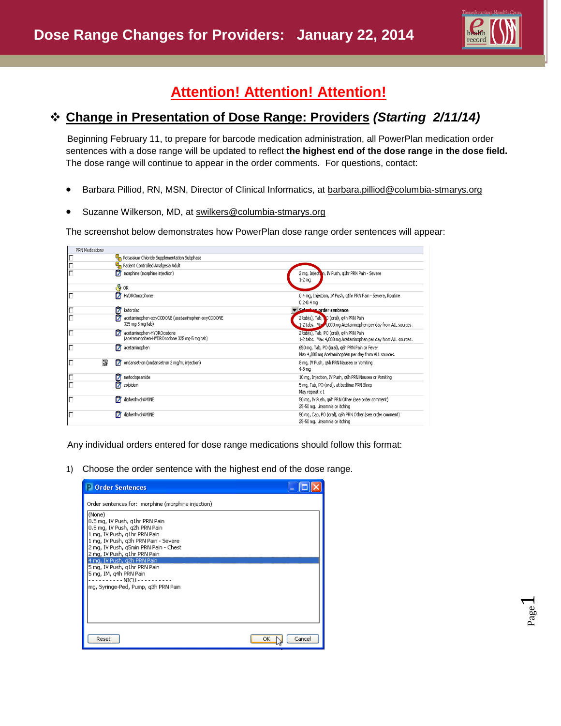

## **Attention! Attention! Attention!**

## **Change in Presentation of Dose Range: Providers** *(Starting 2/11/14)*

 Beginning February 11, to prepare for barcode medication administration, all PowerPlan medication order sentences with a dose range will be updated to reflect **the highest end of the dose range in the dose field.** The dose range will continue to appear in the order comments. For questions, contact:

- Barbara Pilliod, RN, MSN, Director of Clinical Informatics, at barbara.pillio[d@columbia-stmarys.org](mailto:Barbara.pilliod@columbia-stmarys.org)
- Suzanne Wilkerson, MD, at [swilkers@columbia-stmarys.org](mailto:swilkers@columbia-stmarys.org)

The screenshot below demonstrates how PowerPlan dose range order sentences will appear:

| PRN Medications |   |        |                                                                          |          |                                                                                                          |
|-----------------|---|--------|--------------------------------------------------------------------------|----------|----------------------------------------------------------------------------------------------------------|
| Г               |   |        | Potassium Chloride Supplementation Subphase                              |          |                                                                                                          |
| $\Box$          |   |        | Patient Controlled Analgesia Adult                                       |          |                                                                                                          |
| Ë               |   | 17     | morphine (morphine injection)                                            |          | 2 mg, Injection, IV Push, q1hr PRN Pain - Severe<br>$1-2$ mg                                             |
|                 |   | Æ,     | OR                                                                       |          |                                                                                                          |
| IГ              |   |        | HYDROmorphone                                                            |          | 0.4 mg, Injection, IV Push, q1hr PRN Pain - Severe, Routine<br>$0.2 - 0.4$ mg                            |
| Г               |   | 0<br>P | ketorolac                                                                |          | Selection order sentence                                                                                 |
| Г               |   |        | acetaminophen-oxyCODONE (acetaminophen-oxyCODONE<br>325 mg-5 mg tab)     |          | 2 tab(s), Tab, O (oral), q4h PRN Pain<br>1-2 tabs. Max +,000 mg Acetaminophen per day from ALL sources.  |
| Г               |   | 17     | acetaminophen-HYDROcodone<br>(acetaminophen-HYDROcodone 325 mg-5 mg tab) |          | 2 tab(s), Tab, PO (oral), q4h PRN Pain<br>1-2 tabs. Max 4,000 mg Acetaminophen per day from ALL sources. |
| Г               |   | 17     | acetaminophen                                                            |          | 650 mg, Tab, PO (oral), g6h PRN Pain or Fever<br>Max 4,000 mg Acetaminophen per day from ALL sources.    |
| Г               | 譯 | 17     | ondansetron (ondansetron 2 mg/mL injection)                              | $4-8$ mg | 8 mg, IV Push, g6h PRN Nausea or Vomiting                                                                |
| Г               |   | 17     | metoclopramide                                                           |          | 10 mg, Injection, IV Push, q6h PRN Nausea or Vomiting                                                    |
| Ē               |   | ñ      | zolpidem                                                                 |          | 5 mg, Tab, PO (oral), at bedtime PRN Sleep<br>May repeat x 1                                             |
| Г               |   | 17     | diphenhydrAMINE                                                          |          | 50 mg, IV Push, q6h PRN Other (see order comment)<br>25-50 mginsomnia or itching                         |
| Г               |   | Г7     | diphenhydrAMINE                                                          |          | 50 mg, Cap, PO (oral), g6h PRN Other (see order comment)<br>25-50 mginsomnia or itching                  |

Any individual orders entered for dose range medications should follow this format:

1) Choose the order sentence with the highest end of the dose range.

| <b>Order Sentences</b>                                                                                                                                                                                                                                                                                                                                                                                                                                |        |
|-------------------------------------------------------------------------------------------------------------------------------------------------------------------------------------------------------------------------------------------------------------------------------------------------------------------------------------------------------------------------------------------------------------------------------------------------------|--------|
| Order sentences for: morphine (morphine injection)<br>(None)<br>10.5 mg, IV Push, g1hr PRN Pain<br>0.5 mg, IV Push, g2h PRN Pain.<br>1 mg, IV Push, g1hr PRN Pain<br>1 mg, IV Push, g3h PRN Pain - Severe<br>2 mg, IV Push, q5min PRN Pain - Chest<br>2 mg, IV Push, q1hr PRN Pain<br>4 mg, IV Push, g2h PRN Pain.<br>l5 mg, IV Push, g1hr PRN Pain.<br> 5 mg, IM, g4h PRN Pain<br>- - - - - NICU - - - - - -<br> mg, Syringe-Ped, Pump, g3h PRN Pain |        |
| Reset                                                                                                                                                                                                                                                                                                                                                                                                                                                 | Cancel |